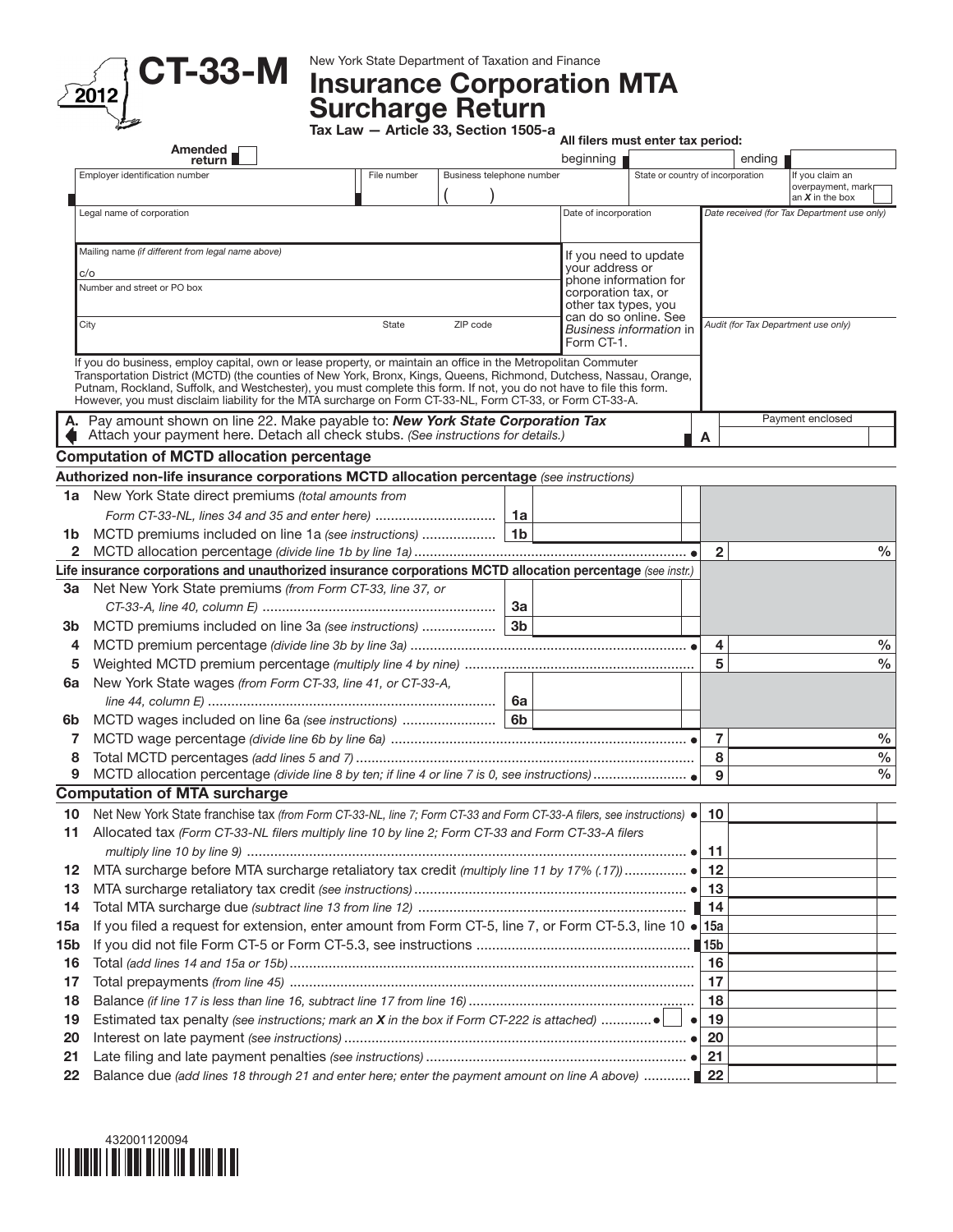

## CT-33-M New York State Department of Taxation and Finance Corporation MTA Surcharge Return

Tax Law — Article 33, Section 1505-a

|     | Amended _                                                                                                                                                                                                                                                                                                                                                    |                                          |          | All filers must enter tax period: |                                               |                                   |                |        |                                             |  |
|-----|--------------------------------------------------------------------------------------------------------------------------------------------------------------------------------------------------------------------------------------------------------------------------------------------------------------------------------------------------------------|------------------------------------------|----------|-----------------------------------|-----------------------------------------------|-----------------------------------|----------------|--------|---------------------------------------------|--|
|     | return                                                                                                                                                                                                                                                                                                                                                       | beginning                                |          |                                   |                                               |                                   |                | ending |                                             |  |
|     | Employer identification number                                                                                                                                                                                                                                                                                                                               | File number<br>Business telephone number |          |                                   |                                               | State or country of incorporation |                |        | If you claim an<br>overpayment, mark        |  |
|     |                                                                                                                                                                                                                                                                                                                                                              |                                          |          |                                   |                                               |                                   |                |        | an $X$ in the box                           |  |
|     | Legal name of corporation                                                                                                                                                                                                                                                                                                                                    |                                          |          |                                   | Date of incorporation                         |                                   |                |        | Date received (for Tax Department use only) |  |
|     |                                                                                                                                                                                                                                                                                                                                                              |                                          |          |                                   |                                               |                                   |                |        |                                             |  |
|     | Mailing name (if different from legal name above)                                                                                                                                                                                                                                                                                                            |                                          |          |                                   | If you need to update                         |                                   |                |        |                                             |  |
|     | c/o                                                                                                                                                                                                                                                                                                                                                          |                                          |          |                                   | your address or<br>phone information for      |                                   |                |        |                                             |  |
|     | Number and street or PO box                                                                                                                                                                                                                                                                                                                                  |                                          |          |                                   | corporation tax, or                           |                                   |                |        |                                             |  |
|     |                                                                                                                                                                                                                                                                                                                                                              |                                          |          |                                   | other tax types, you<br>can do so online. See |                                   |                |        |                                             |  |
|     | City                                                                                                                                                                                                                                                                                                                                                         | State                                    | ZIP code |                                   |                                               | Business information in           |                |        | Audit (for Tax Department use only)         |  |
|     |                                                                                                                                                                                                                                                                                                                                                              |                                          |          |                                   | Form CT-1.                                    |                                   |                |        |                                             |  |
|     | If you do business, employ capital, own or lease property, or maintain an office in the Metropolitan Commuter<br>Transportation District (MCTD) (the counties of New York, Bronx, Kings, Queens, Richmond, Dutchess, Nassau, Orange,<br>Putnam, Rockland, Suffolk, and Westchester), you must complete this form. If not, you do not have to file this form. |                                          |          |                                   |                                               |                                   |                |        |                                             |  |
|     | However, you must disclaim liability for the MTA surcharge on Form CT-33-NL, Form CT-33, or Form CT-33-A.                                                                                                                                                                                                                                                    |                                          |          |                                   |                                               |                                   |                |        |                                             |  |
|     | A. Pay amount shown on line 22. Make payable to: New York State Corporation Tax                                                                                                                                                                                                                                                                              |                                          |          |                                   |                                               |                                   |                |        | Payment enclosed                            |  |
|     | Attach your payment here. Detach all check stubs. (See instructions for details.)                                                                                                                                                                                                                                                                            |                                          |          |                                   |                                               |                                   | A              |        |                                             |  |
|     | <b>Computation of MCTD allocation percentage</b>                                                                                                                                                                                                                                                                                                             |                                          |          |                                   |                                               |                                   |                |        |                                             |  |
|     | Authorized non-life insurance corporations MCTD allocation percentage (see instructions)                                                                                                                                                                                                                                                                     |                                          |          |                                   |                                               |                                   |                |        |                                             |  |
| 1a  | New York State direct premiums (total amounts from                                                                                                                                                                                                                                                                                                           |                                          |          |                                   |                                               |                                   |                |        |                                             |  |
|     | Form CT-33-NL, lines 34 and 35 and enter here)                                                                                                                                                                                                                                                                                                               |                                          |          | 1a                                |                                               |                                   |                |        |                                             |  |
| 1b  | MCTD premiums included on line 1a (see instructions)                                                                                                                                                                                                                                                                                                         |                                          |          | 1 <sub>b</sub>                    |                                               |                                   |                |        |                                             |  |
| 2   |                                                                                                                                                                                                                                                                                                                                                              |                                          |          |                                   |                                               |                                   | $\overline{2}$ |        | $\%$                                        |  |
|     | Life insurance corporations and unauthorized insurance corporations MCTD allocation percentage (see instr.)                                                                                                                                                                                                                                                  |                                          |          |                                   |                                               |                                   |                |        |                                             |  |
| За  | Net New York State premiums (from Form CT-33, line 37, or                                                                                                                                                                                                                                                                                                    |                                          |          |                                   |                                               |                                   |                |        |                                             |  |
|     |                                                                                                                                                                                                                                                                                                                                                              |                                          |          | За                                |                                               |                                   |                |        |                                             |  |
| 3b  | MCTD premiums included on line 3a (see instructions)                                                                                                                                                                                                                                                                                                         |                                          |          | 3 <sub>b</sub>                    |                                               |                                   |                |        |                                             |  |
| 4   |                                                                                                                                                                                                                                                                                                                                                              |                                          |          |                                   |                                               |                                   | 4              |        | %                                           |  |
| 5   |                                                                                                                                                                                                                                                                                                                                                              |                                          |          |                                   |                                               |                                   | 5              |        | $\%$                                        |  |
| 6а  | New York State wages (from Form CT-33, line 41, or CT-33-A,                                                                                                                                                                                                                                                                                                  |                                          |          |                                   |                                               |                                   |                |        |                                             |  |
|     |                                                                                                                                                                                                                                                                                                                                                              |                                          |          | 6а                                |                                               |                                   |                |        |                                             |  |
| 6b  |                                                                                                                                                                                                                                                                                                                                                              |                                          |          |                                   |                                               |                                   |                |        |                                             |  |
| 7   |                                                                                                                                                                                                                                                                                                                                                              |                                          |          |                                   |                                               |                                   | $\overline{7}$ |        | %                                           |  |
| 8   |                                                                                                                                                                                                                                                                                                                                                              |                                          |          |                                   |                                               |                                   | 8              |        | $\%$                                        |  |
| 9   |                                                                                                                                                                                                                                                                                                                                                              |                                          |          |                                   |                                               |                                   | 9              |        | $\frac{0}{0}$                               |  |
|     | <b>Computation of MTA surcharge</b>                                                                                                                                                                                                                                                                                                                          |                                          |          |                                   |                                               |                                   |                |        |                                             |  |
| 10  | Net New York State franchise tax (from Form CT-33-NL, line 7; Form CT-33 and Form CT-33-A filers, see instructions) $\bullet$                                                                                                                                                                                                                                |                                          |          |                                   |                                               |                                   | -10            |        |                                             |  |
|     | Allocated tax (Form CT-33-NL filers multiply line 10 by line 2; Form CT-33 and Form CT-33-A filers                                                                                                                                                                                                                                                           |                                          |          |                                   |                                               |                                   |                |        |                                             |  |
|     |                                                                                                                                                                                                                                                                                                                                                              |                                          |          |                                   |                                               |                                   |                |        |                                             |  |
| 12  |                                                                                                                                                                                                                                                                                                                                                              |                                          |          |                                   |                                               |                                   |                |        |                                             |  |
| 13  |                                                                                                                                                                                                                                                                                                                                                              |                                          |          |                                   |                                               |                                   | 13             |        |                                             |  |
| 14  |                                                                                                                                                                                                                                                                                                                                                              |                                          |          |                                   |                                               |                                   |                |        |                                             |  |
| 15a | If you filed a request for extension, enter amount from Form CT-5, line 7, or Form CT-5.3, line 10 . 15a                                                                                                                                                                                                                                                     |                                          |          |                                   |                                               |                                   |                |        |                                             |  |
| 15b |                                                                                                                                                                                                                                                                                                                                                              |                                          |          |                                   |                                               |                                   |                |        |                                             |  |
| 16  |                                                                                                                                                                                                                                                                                                                                                              |                                          |          |                                   |                                               |                                   | 16             |        |                                             |  |
| 17  |                                                                                                                                                                                                                                                                                                                                                              |                                          |          |                                   |                                               |                                   | 17             |        |                                             |  |
| 18  |                                                                                                                                                                                                                                                                                                                                                              |                                          |          |                                   |                                               |                                   | 18             |        |                                             |  |
| 19  |                                                                                                                                                                                                                                                                                                                                                              |                                          |          |                                   |                                               | $\bullet$                         | 19             |        |                                             |  |
| 20  |                                                                                                                                                                                                                                                                                                                                                              |                                          |          |                                   |                                               |                                   | 20             |        |                                             |  |
| 21  |                                                                                                                                                                                                                                                                                                                                                              |                                          |          |                                   |                                               |                                   | 21             |        |                                             |  |
| 22  | Balance due (add lines 18 through 21 and enter here; enter the payment amount on line A above)  22                                                                                                                                                                                                                                                           |                                          |          |                                   |                                               |                                   |                |        |                                             |  |